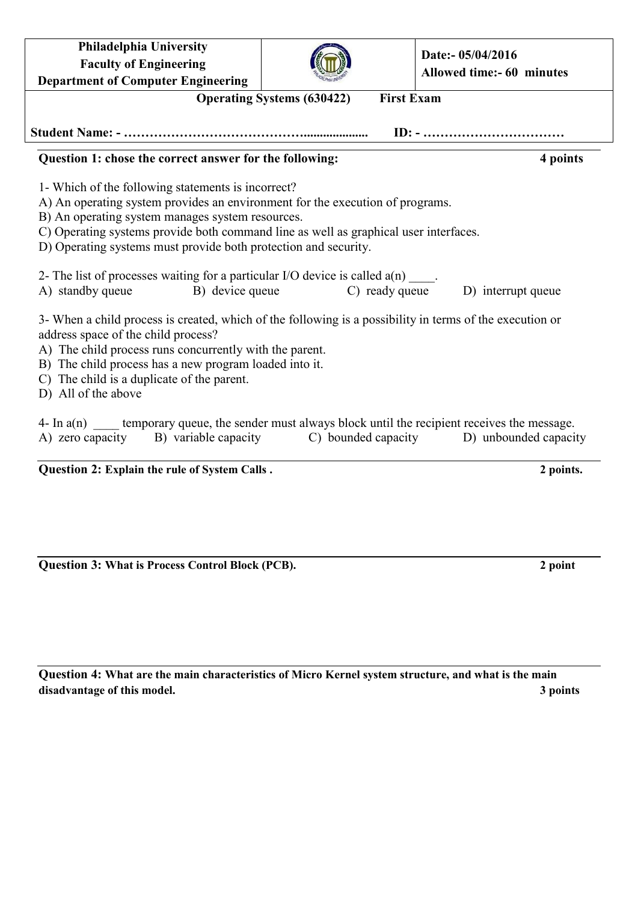| <b>Philadelphia University</b><br><b>Faculty of Engineering</b><br><b>Department of Computer Engineering</b>                                                                                                                                                                                                                                                                                                                                                                                                                                      |  | Date:- 05/04/2016<br>Allowed time:- 60 minutes |  |  |
|---------------------------------------------------------------------------------------------------------------------------------------------------------------------------------------------------------------------------------------------------------------------------------------------------------------------------------------------------------------------------------------------------------------------------------------------------------------------------------------------------------------------------------------------------|--|------------------------------------------------|--|--|
| <b>First Exam</b><br><b>Operating Systems (630422)</b>                                                                                                                                                                                                                                                                                                                                                                                                                                                                                            |  |                                                |  |  |
|                                                                                                                                                                                                                                                                                                                                                                                                                                                                                                                                                   |  |                                                |  |  |
| Question 1: chose the correct answer for the following:                                                                                                                                                                                                                                                                                                                                                                                                                                                                                           |  | 4 points                                       |  |  |
| 1- Which of the following statements is incorrect?<br>A) An operating system provides an environment for the execution of programs.<br>B) An operating system manages system resources.<br>C) Operating systems provide both command line as well as graphical user interfaces.<br>D) Operating systems must provide both protection and security.<br>2- The list of processes waiting for a particular I/O device is called $a(n)$ ____.<br>A) standby queue<br>B) device queue<br>C) ready queue<br>D) interrupt queue                          |  |                                                |  |  |
| 3- When a child process is created, which of the following is a possibility in terms of the execution or<br>address space of the child process?<br>A) The child process runs concurrently with the parent.<br>B) The child process has a new program loaded into it.<br>C) The child is a duplicate of the parent.<br>D) All of the above<br>4- In $a(n)$ ______ temporary queue, the sender must always block until the recipient receives the message.<br>A) zero capacity B) variable capacity<br>C) bounded capacity<br>D) unbounded capacity |  |                                                |  |  |

**Question 2: Explain the rule of System Calls . 2 points.**

**Question 3: What is Process Control Block (PCB). 2 point**

**Question 4: What are the main characteristics of Micro Kernel system structure, and what is the main disadvantage of this model. 3 points**